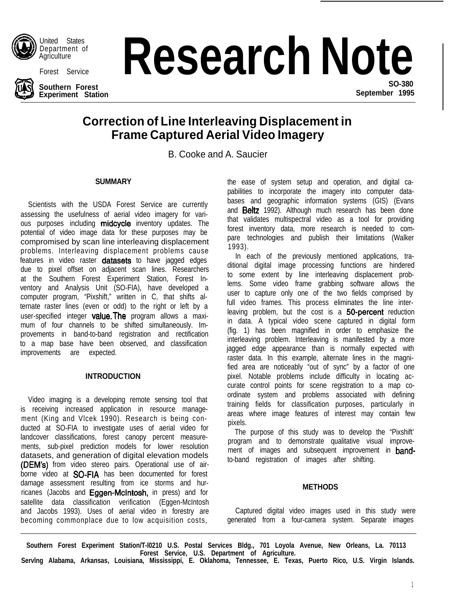

United States Department of Agriculture



**Southern Forest Experiment Station**

# Department of **Research Note**

**SO-380 September 1995**

# **Correction of Line Interleaving Displacement in Frame Captured Aerial Video Imagery**

B. Cooke and A. Saucier

## **SUMMARY**

Scientists with the USDA Forest Service are currently assessing the usefulness of aerial video imagery for various purposes including midcycle inventory updates. The potential of video image data for these purposes may be compromised by scan line interleaving displacement problems. Interleaving displacement problems cause features in video raster **datasets** to have jagged edges due to pixel offset on adjacent scan lines. Researchers at the Southern Forest Experiment Station, Forest Inventory and Analysis Unit (SO-FIA), have developed a computer program, "Pixshift," written in C, that shifts alternate raster lines (even or odd) to the right or left by a user-specified integer value. The program allows a maximum of four channels to be shifted simultaneously. Improvements in band-to-band registration and rectification to a map base have been observed, and classification improvements are expected.

## **INTRODUCTION**

Video imaging is a developing remote sensing tool that is receiving increased application in resource management (King and Vlcek 1990). Research is being conducted at SO-FIA to investigate uses of aerial video for landcover classifications, forest canopy percent measurements, sub-pixel prediction models for lower resolution datasets, and generation of digital elevation models (DEM's) from video stereo pairs. Operational use of airborne video at **SO-FIA** has been documented for forest damage assessment resulting from ice storms and hurricanes (Jacobs and Eggen-McIntosh, in press) and for satellite data classification verification (Eggen-McIntosh and Jacobs 1993). Uses of aerial video in forestry are becoming commonplace due to low acquisition costs,

the ease of system setup and operation, and digital capabilities to incorporate the imagery into computer databases and geographic information systems (GIS) (Evans and **Beltz** 1992). Although much research has been done that validates multispectral video as a tool for providing forest inventory data, more research is needed to compare technologies and publish their limitations (Walker 1993).

In each of the previously mentioned applications, traditional digital image processing functions are hindered to some extent by line interleaving displacement problems. Some video frame grabbing software allows the user to capture only one of the two fields comprised by full video frames. This process eliminates the line interleaving problem, but the cost is a 50-percent reduction in data. A typical video scene captured in digital form (fig. 1) has been magnified in order to emphasize the interleaving problem. Interleaving is manifested by a more jagged edge appearance than is normally expected with raster data. In this example, alternate lines in the magnified area are noticeably "out of sync" by a factor of one pixel. Notable problems include difficulty in locating accurate control points for scene registration to a map coordinate system and problems associated with defining training fields for classification purposes, particularly in areas where image features of interest may contain few pixels.

The purpose of this study was to develop the "Pixshift' program and to demonstrate qualitative visual improvement of images and subsequent improvement in **band**to-band registration of images after shifting.

## **METHODS**

Captured digital video images used in this study were generated from a four-camera system. Separate images

**Southern Forest Experiment Station/T-l0210 U.S. Postal Services Bldg., 701 Loyola Avenue, New Orleans, La. 70113 Forest Service, U.S. Department of Agriculture. Servlng Alabama, Arkansas, Louisiana, Mississippi, E. Oklahoma, Tennessee, E. Texas, Puerto Rico, U.S. Virgin Islands.**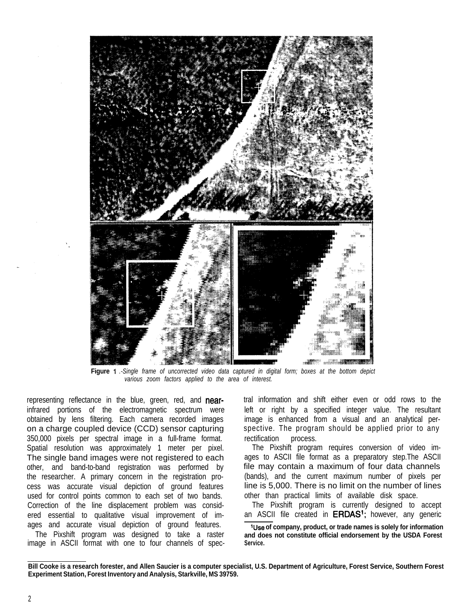

**Figure** *1 .-Single frame of uncorrected video data captured in digital form; boxes at the bottom depict various zoom factors applied to the area of interest.*

representing reflectance in the blue, green, red, and nearinfrared portions of the electromagnetic spectrum were obtained by lens filtering. Each camera recorded images on a charge coupled device (CCD) sensor capturing 350,000 pixels per spectral image in a full-frame format. Spatial resolution was approximately 1 meter per pixel. The single band images were not registered to each other, and band-to-band registration was performed by the researcher. A primary concern in the registration process was accurate visual depiction of ground features used for control points common to each set of two bands. Correction of the line displacement problem was considered essential to qualitative visual improvement of images and accurate visual depiction of ground features.

The Pixshift program was designed to take a raster image in ASCII format with one to four channels of spec-

tral information and shift either even or odd rows to the left or right by a specified integer value. The resultant image is enhanced from a visual and an analytical perspective. The program should be applied prior to any rectification process.

The Pixshift program requires conversion of video images to ASCII file format as a preparatory step.The ASCII file may contain a maximum of four data channels (bands), and the current maximum number of pixels per line is 5,000. There is no limit on the number of lines other than practical limits of available disk space.

The Pixshift program is currently designed to accept an ASCII file created in ERDAS<sup>1</sup>; however, any generic

**'Use of company, product, or trade names is solely for information and does not constitute official endorsement by the USDA Forest Service.**

**Bill Cooke is a research forester, and Allen Saucier is a computer specialist, U.S. Department of Agriculture, Forest Service, Southern Forest Experiment Station, Forest Inventory and Analysis, Starkville, MS 39759.**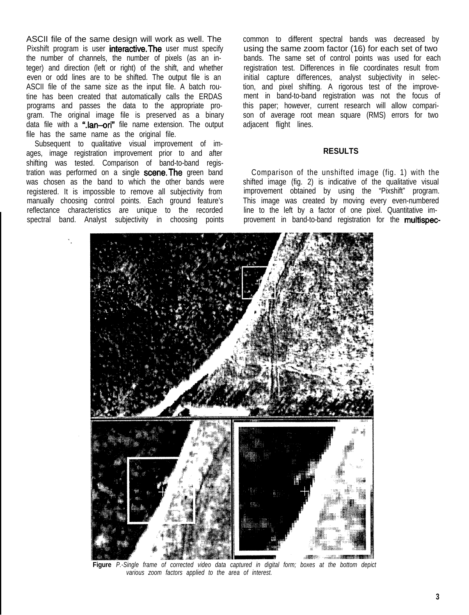ASCII file of the same design will work as well. The Pixshift program is user **interactive. The** user must specify the number of channels, the number of pixels (as an integer) and direction (left or right) of the shift, and whether even or odd lines are to be shifted. The output file is an ASCII file of the same size as the input file. A batch routine has been created that automatically calls the ERDAS programs and passes the data to the appropriate program. The original image file is preserved as a binary data file with a ".lan-ori" file name extension. The output file has the same name as the original file.

Subsequent to qualitative visual improvement of images, image registration improvement prior to and after shifting was tested. Comparison of band-to-band registration was performed on a single scene. The green band was chosen as the band to which the other bands were registered. It is impossible to remove all subjectivity from manually choosing control points. Each ground feature's reflectance characteristics are unique to the recorded spectral band. Analyst subjectivity in choosing points common to different spectral bands was decreased by using the same zoom factor (16) for each set of two bands. The same set of control points was used for each registration test. Differences in file coordinates result from initial capture differences, analyst subjectivity in selection, and pixel shifting. A rigorous test of the improvement in band-to-band registration was not the focus of this paper; however, current research will allow comparison of average root mean square (RMS) errors for two adjacent flight lines.

#### **RESULTS**

Comparison of the unshifted image (fig. 1) with the shifted image (fig. 2) is indicative of the qualitative visual improvement obtained by using the "Pixshift" program. This image was created by moving every even-numbered line to the left by a factor of one pixel. Quantitative improvement in band-to-band registration for the multispec-



**Figure** *P.-Single frame of corrected video data captured in digital form; boxes at the bottom depict various zoom factors applied to the area of interest.*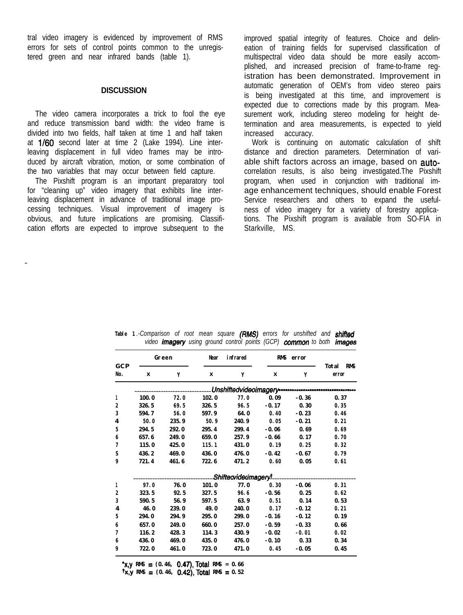tral video imagery is evidenced by improvement of RMS errors for sets of control points common to the unregistered green and near infrared bands (table 1).

#### **DISCUSSION**

The video camera incorporates a trick to fool the eye and reduce transmission band width: the video frame is divided into two fields, half taken at time 1 and half taken at 1/60 second later at time 2 (Lake 1994). Line interleaving displacement in full video frames may be introduced by aircraft vibration, motion, or some combination of the two variables that may occur between field capture.

The Pixshift program is an important preparatory tool for "cleaning up" video imagery that exhibits line interleaving displacement in advance of traditional image processing techniques. Visual improvement of imagery is obvious, and future implications are promising. Classification efforts are expected to improve subsequent to the

improved spatial integrity of features. Choice and delineation of training fields for supervised classification of multispectral video data should be more easily accomplished, and increased precision of frame-to-frame registration has been demonstrated. Improvement in automatic generation of OEM's from video stereo pairs is being investigated at this time, and improvement is expected due to corrections made by this program. Measurement work, including stereo modeling for height determination and area measurements, is expected to yield increased accuracy.

Work is continuing on automatic calculation of shift distance and direction parameters. Determination of variable shift factors across an image, based on autocorrelation results, is also being investigated.The Pixshift program, when used in conjunction with traditional image enhancement techniques, should enable Forest Service researchers and others to expand the usefulness of video imagery for a variety of forestry applications. The Pixshift program is available from SO-FIA in Starkville, MS.

| G C P<br>No. | Green |       | Near  | infrared                      | <b>RMS</b><br>error |         |                              |
|--------------|-------|-------|-------|-------------------------------|---------------------|---------|------------------------------|
|              | x     | Y     | x     | Y                             | x                   | Y       | Total<br><b>RMS</b><br>error |
|              |       |       |       | Unshiftedvideoimagery ------- |                     |         |                              |
| 1            | 100.0 | 72.0  | 102.0 | 77.0                          | 0.09                | $-0.36$ | 0.37                         |
| 2            | 326.5 | 69.5  | 326.5 | 96.5                          | $-0.17$             | 0.30    | 0.35                         |
| 3            | 594.7 | 56.0  | 597.9 | 64.0                          | 0.40                | $-0.23$ | 0.46                         |
| 4            | 50.0  | 235.9 | 50.9  | 240.9                         | 0.05                | $-0.21$ | 0.21                         |
| 5            | 294.5 | 292.0 | 295.4 | 299.4                         | $-0.06$             | 0.69    | 0.69                         |
| 6            | 657.6 | 249.0 | 659.0 | 257.9                         | $-0.66$             | 0.17    | 0.70                         |
| 7            | 115.0 | 425.0 | 115.1 | 431.0                         | 0.19                | 0.25    | 0.32                         |
| S            | 436.2 | 469.0 | 436.0 | 476.0                         | $-0.42$             | $-0.67$ | 0.79                         |
| 9            | 721.4 | 461.6 | 722.6 | 471.2                         | 0.60                | 0.05    | 0.61                         |
|              |       |       |       | Shifteavidecimageryl          |                     |         |                              |
| 1            | 97.0  | 76.0  | 101.0 | 77.0                          | 0.30                | $-0.06$ | 0.31                         |
| 2            | 323.5 | 92.5  | 327.5 | 96.6                          | $-0.56$             | 0.25    | 0.62                         |
| 3            | 590.5 | 56.9  | 597.5 | 63.9                          | 0.51                | 0.14    | 0.53                         |
| 4            | 46.0  | 239.0 | 49.0  | 240.0                         | 0.17                | $-0.12$ | 0.21                         |
| 5            | 294.0 | 294.9 | 295.0 | 299.0                         | $-0.16$             | $-0.12$ | 0.19                         |
| 6            | 657.0 | 249.0 | 660.0 | 257.0                         | $-0.59$             | $-0.33$ | 0.66                         |
| 7            | 116.2 | 428.3 | 114.3 | 430.9                         | $-0.02$             | $-0.01$ | 0.02                         |
| 6            | 436.0 | 469.0 | 435.0 | 476.0                         | $-0.10$             | 0.33    | 0.34                         |
| 9            | 722.0 | 461.0 | 723.0 | 471.0                         | 0.45                | $-0.05$ | 0.45                         |

**Table 1** *.-Comparison of root mean square (RMS) errors for unshifted and shifbd* video *imagery* using ground control points (GCP) common to both *images* 

 $x,y$  RMS =  $(0.46, 0.47)$ , Total RMS =  $0.66$ **tx,y RMS = (0.46, 0.42),Total RMS = 0.52**